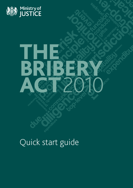

# THE BRIBERY. ACT2010

## Quick start guide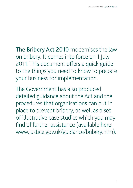The Bribery Act 2010 modernises the law on bribery. It comes into force on 1 July 2011. This document offers a quick guide to the things you need to know to prepare your business for implementation.

The Government has also produced detailed guidance about the Act and the procedures that organisations can put in place to prevent bribery, as well as a set of illustrative case studies which you may find of further assistance (available here: www.justice.gov.uk/guidance/bribery.htm).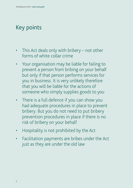### Key points

- This Act deals only with bribery  $-$  not other forms of white collar crime
- Your organisation may be liable for failing to prevent a person from bribing on your behalf but only if that person performs services for you in business. It is very unlikely therefore that you will be liable for the actions of someone who simply supplies goods to you
- There is a full defence if you can show you had adequate procedures in place to prevent bribery. But you do not need to put bribery prevention procedures in place if there is no risk of bribery on your behalf
- Hospitality is not prohibited by the Act
- Facilitation payments are bribes under the Act just as they are under the old law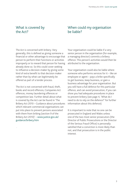#### What is covered by the Act?

#### When could my organisation be liable?

The Act is concerned with bribery. Very generally, this is defined as giving someone a financial or other advantage to encourage that person to perform their functions or activities improperly or to reward that person for having already done so. So this could cover seeking to influence a decision-maker by giving some kind of extra benefit to that decision maker rather than by what can legitimately be offered as part of a tender process.

The Act is not concerned with fraud, theft, books and record offences, Companies Act offences, money laundering offences or competition law. Further detail about what is covered by the Act can be found in 'The Bribery Act 2010 – Guidance about procedures which relevant commercial organisations can put into place to prevent persons associated with them from bribing (section 9 of the Bribery Act 2010)' – www.justice.gov.uk/ guidance/bribery.htm

.

Your organisation could be liable if a very senior person in the organisation (for example, a managing director) commits a bribery offence. This person's activities would then be attributed to the organisation.

Your organisation could also be liable where someone who performs services for it – like an employee or agent – pays a bribe specifically to get business, keep business, or gain a business advantage for your organisation. But you will have a full defence for this particular offence, and can avoid prosecution, if you can show you had adequate procedures in place to prevent bribery (see page 4, 'What do I need to do to rely on the defence?' for further information about this defence).

It is important to note that no one can be prosecuted in England and Wales unless one of the two most senior prosecutors (the Director of Public Prosecutions or the Director of the Serious Fraud Office) is personally satisfied that a conviction is more likely than not, and that prosecution is in the public interest.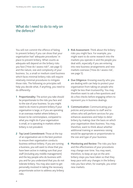#### What do I need to do to rely on the defence?

You will not commit the offence of failing to prevent bribery if you can show that your organisation had 'adequate procedures' in place to prevent bribery. What counts as adequate will depend on the bribery risks you face ('How do I assess risk?', see page 5) and the nature, size and complexity of your business. So, a small or medium sized business which faces minimal bribery risks will require relatively minimal procedures to mitigate those risks. The following six principles will help you decide what, if anything, you need to do differently:

- **1** Proportionality: The action you take should be proportionate to the risks you face and to the size of your business. So you might need to do more to prevent bribery if your organisation is large, or if you are operating in an overseas market where bribery is known to be commonplace, compared to what you might do if your organisation is small, or is operating in markets where bribery is not prevalent.
- **2** Top Level Commitment: Those at the top of an organisation are in the best position to ensure their organisation conducts business without bribery. If you are running a business, you will want to show that you have been active in making sure that your staff (including any middle management) and the key people who do business with you and for you understand that you do not tolerate bribery. You may also want to get personally involved in taking the necessary proportionate action to address any bribery risks.
- **3** Risk Assessment: Think about the bribery risks you might face. For example, you might want to do some research into the markets you operate in and the people you deal with, especially if you are entering into new business arrangements and new markets overseas ('How do I assess risk', see page 5).
- **4** Due Diligence: Knowing exactly who you are dealing with can help to protect your organisation from taking on people who might be less than trustworthy. You may therefore want to ask a few questions and do a few checks before engaging others to represent you in business dealings.
- **5** Communication: Communicating your policies and procedures to staff and to others who will perform services for you enhances awareness and helps to deter bribery by making clear the basis on which your organisation does business. You may, therefore, want to think about whether additional training or awareness raising would be appropriate or proportionate to the size and type of your business.
- **6** Monitoring and Review: The risks you face and the effectiveness of your procedures may change over time. You may want, therefore, to keep an eye on the antibribery steps you have taken so that they keep pace with any changes in the bribery risks you face when, for example, you enter new markets.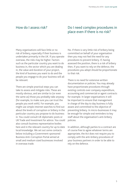#### How do I assess risk?

#### Do I need complex procedures in place even if there is no risk?

Many organisations will face little or no risk of bribery, especially if their business is undertaken primarily in the UK. If you operate overseas, the risks may be higher. Factors such as the particular country you want to do business in, the sector which you are dealing in, the value and duration of your project, the kind of business you want to do and the people you engage to do your business will all be relevant.

There are simple practical steps you can take to assess and mitigate risks. These are mostly obvious, and are similar to (or even the same as) those you probably take anyway (for example, to make sure you can trust the people you work with). For example, you might use simple internet searches to find out about the levels of corruption or bribery in the particular country you propose to do business in. You could consult UK diplomatic posts or UK Trade and Investment for advice. You could also consult business representative bodies here and in the relevant country for up to date local knowledge. We set out some contacts below including a Government-sponsored Business Anti-Corruption Portal aimed at small and medium sized businesses involved in overseas trade.

No. If there is very little risk of bribery being committed on behalf of your organisation then you may not feel the need for any procedures to prevent bribery. If, having assessed the position, there is a risk of bribery then, if you want to rely on the defence, the procedures you adopt should be proportionate to that risk.

There is no need for extensive written documentation or policies. You may already have proportionate procedures through existing controls over company expenditure, accounting and commercial or agent contracts for example. In larger organisations it will be important to ensure that management in charge of the day to day business is fully aware and committed to the objective of preventing bribery. In micro-businesses it may be enough for simple oral reminders to key staff about the organisation's anti-bribery policies.

In addition, although parties to a contract are of course free to agree whatever terms are appropriate, the Act does not require you to comply with the anti-bribery procedures of your business partners in order to be able to rely on the defence.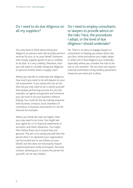#### Do I need to do due diligence on all my suppliers?

You only have to think about doing due diligence on persons who will actually perform services for you, or on your behalf. Someone who simply supplies goods to you is unlikely to do that. It is very unlikely, therefore, that you will need to consider doing due diligence on persons further down a supply chain.

Where you decide to undertake due diligence, how much you need to do will depend on your risk assessment. If you assess the risk as low then all you may need to do is satisfy yourself that people performing services for you (for example, an agent) are genuine and someone you can trust to do your business without bribing. You could do this by making enquiries with business contacts, local chambers of commerce or business associations or via the internet for example.

Where you think the risks are higher, then you may need to do more. You might ask your agent for a CV, financial statements or accounts, and other references. You might then follow those up to ensure they are genuine. The aim is to satisfy yourself that the person that is to represent your organisation can be trusted not to use bribery on your behalf, but this does not necessarily require sophisticated and costly techniques. Personal contact, allowing you to assess the person for yourself, can be very helpful.

#### Do I need to employ consultants or lawyers to provide advice on the risks I face, the procedures I adopt, or the level of due diligence I should undertake?

No. There is no duty to engage lawyers or consultants in helping you assess what risks you face, what procedures you might adopt or what sort of due diligence you undertake especially where you consider the risks to be low or non-existent. The Act does not require external verification of any bribery prevention measures you have put in place.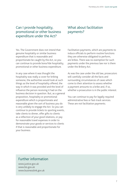#### Can I provide hospitality, promotional or other business expenditure under the Act?

Yes. The Government does not intend that genuine hospitality or similar business expenditure that is reasonable and proportionate be caught by the Act, so you can continue to provide bona fide hospitality, promotional or other business expenditure.

In any case where it was thought the hospitality was really a cover for bribing someone, the authorities would look at such things as the level of hospitality offered, the way in which it was provided and the level of influence the person receiving it had on the business decision in question. But, as a general proposition, hospitality or promotional expenditure which is proportionate and reasonable given the sort of business you do is very unlikely to engage the Act. So you can continue to provide tickets to sporting events, take clients to dinner, offer gifts to clients as a reflection of your good relations, or pay for reasonable travel expenses in order to demonstrate your goods or services to clients if that is reasonable and proportionate for your business.

#### What about facilitation payments?

Facilitation payments, which are payments to induce officials to perform routine functions they are otherwise obligated to perform, are bribes. There was no exemption for such payments under the previous law nor is there under the Bribery Act.

As was the case under the old law, prosecutors will carefully consider all the facts and surrounding circumstances of cases which come to their attention to assess whether a payment amounts to a bribe and, if so, whether a prosecution is in the public interest.

You can continue to pay for legally required administrative fees or fast-track services. These are not facilitation payments.

#### Further information

www.justice.gov.uk www.bis.gov.uk www.businesslink.gov.uk